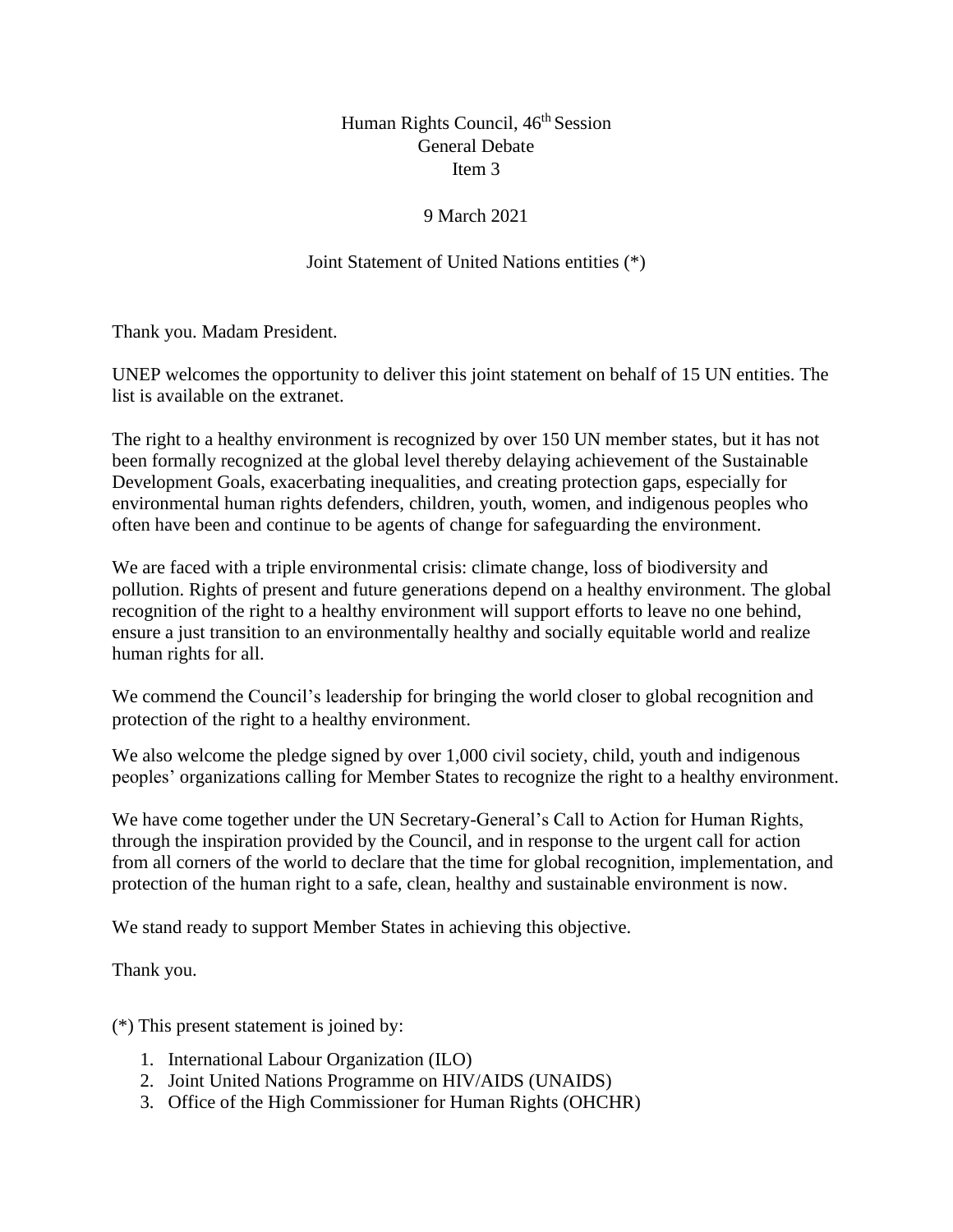## Human Rights Council, 46<sup>th</sup> Session General Debate Item 3

## 9 March 2021

## Joint Statement of United Nations entities (\*)

Thank you. Madam President.

UNEP welcomes the opportunity to deliver this joint statement on behalf of 15 UN entities. The list is available on the extranet.

The right to a healthy environment is recognized by over 150 UN member states, but it has not been formally recognized at the global level thereby delaying achievement of the Sustainable Development Goals, exacerbating inequalities, and creating protection gaps, especially for environmental human rights defenders, children, youth, women, and indigenous peoples who often have been and continue to be agents of change for safeguarding the environment.

We are faced with a triple environmental crisis: climate change, loss of biodiversity and pollution. Rights of present and future generations depend on a healthy environment. The global recognition of the right to a healthy environment will support efforts to leave no one behind, ensure a just transition to an environmentally healthy and socially equitable world and realize human rights for all.

We commend the Council's leadership for bringing the world closer to global recognition and protection of the right to a healthy environment.

We also welcome the pledge signed by over 1,000 civil society, child, youth and indigenous peoples' organizations calling for Member States to recognize the right to a healthy environment.

We have come together under the UN Secretary-General's Call to Action for Human Rights, through the inspiration provided by the Council, and in response to the urgent call for action from all corners of the world to declare that the time for global recognition, implementation, and protection of the human right to a safe, clean, healthy and sustainable environment is now.

We stand ready to support Member States in achieving this objective.

Thank you.

(\*) This present statement is joined by:

- 1. International Labour Organization (ILO)
- 2. Joint United Nations Programme on HIV/AIDS (UNAIDS)
- 3. Office of the High Commissioner for Human Rights (OHCHR)